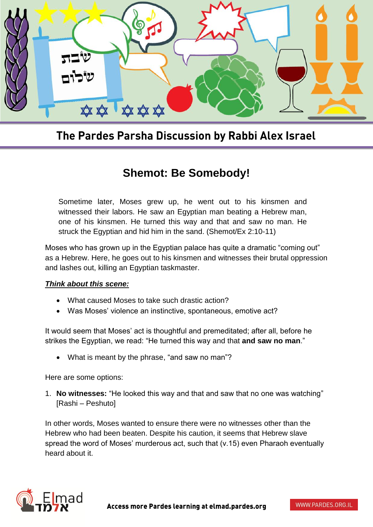

## The Pardes Parsha Discussion by Rabbi Alex Israel

## **Shemot: Be Somebody!**

Sometime later, Moses grew up, he went out to his kinsmen and witnessed their labors. He saw an Egyptian man beating a Hebrew man, one of his kinsmen. He turned this way and that and saw no man. He struck the Egyptian and hid him in the sand. (Shemot/Ex 2:10-11)

Moses who has grown up in the Egyptian palace has quite a dramatic "coming out" as a Hebrew. Here, he goes out to his kinsmen and witnesses their brutal oppression and lashes out, killing an Egyptian taskmaster.

## *Think about this scene:*

- What caused Moses to take such drastic action?
- Was Moses' violence an instinctive, spontaneous, emotive act?

It would seem that Moses' act is thoughtful and premeditated; after all, before he strikes the Egyptian, we read: "He turned this way and that **and saw no man**."

What is meant by the phrase, "and saw no man"?

Here are some options:

1. **No witnesses:** "He looked this way and that and saw that no one was watching" [Rashi – Peshuto]

In other words, Moses wanted to ensure there were no witnesses other than the Hebrew who had been beaten. Despite his caution, it seems that Hebrew slave spread the word of Moses' murderous act, such that (v.15) even Pharaoh eventually heard about it.